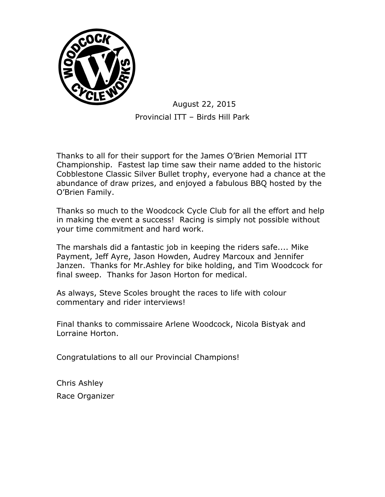

Thanks to all for their support for the James O'Brien Memorial ITT Championship. Fastest lap time saw their name added to the historic Cobblestone Classic Silver Bullet trophy, everyone had a chance at the abundance of draw prizes, and enjoyed a fabulous BBQ hosted by the O'Brien Family.

Thanks so much to the Woodcock Cycle Club for all the effort and help in making the event a success! Racing is simply not possible without your time commitment and hard work.

The marshals did a fantastic job in keeping the riders safe.... Mike Payment, Jeff Ayre, Jason Howden, Audrey Marcoux and Jennifer Janzen. Thanks for Mr.Ashley for bike holding, and Tim Woodcock for final sweep. Thanks for Jason Horton for medical.

As always, Steve Scoles brought the races to life with colour commentary and rider interviews!

Final thanks to commissaire Arlene Woodcock, Nicola Bistyak and Lorraine Horton.

Congratulations to all our Provincial Champions!

Chris Ashley Race Organizer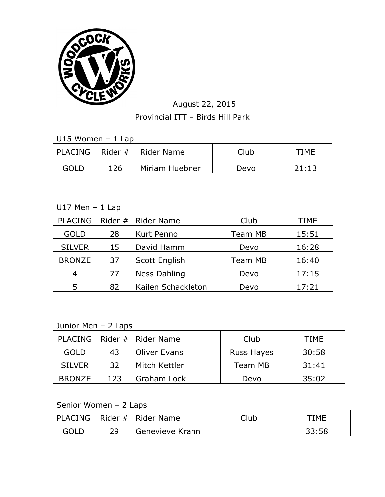

U15 Women – 1 Lap

|      |     | PLACING   Rider #   Rider Name | Club | TIMF  |
|------|-----|--------------------------------|------|-------|
| GOLD | 126 | Miriam Huebner                 | Devo | 21:13 |

#### $U17$  Men - 1 Lap

| <b>PLACING</b> |    | Rider $#$   Rider Name | Club           | TIME  |
|----------------|----|------------------------|----------------|-------|
| <b>GOLD</b>    | 28 | Kurt Penno             | <b>Team MB</b> | 15:51 |
| <b>SILVER</b>  | 15 | David Hamm             | Devo           | 16:28 |
| <b>BRONZE</b>  | 37 | Scott English          | <b>Team MB</b> | 16:40 |
| 4              | 77 | <b>Ness Dahling</b>    | Devo           | 17:15 |
| 5              | 82 | Kailen Schackleton     | Devo           | 17:21 |

# Junior Men - 2 Laps

| <b>PLACING</b> |     | Rider #   Rider Name | Club       | TIME  |
|----------------|-----|----------------------|------------|-------|
| <b>GOLD</b>    | 43  | <b>Oliver Evans</b>  | Russ Hayes | 30:58 |
| <b>SILVER</b>  | 32  | Mitch Kettler        | Team MB    | 31:41 |
| <b>BRONZE</b>  | 123 | Graham Lock          | Devo       | 35:02 |

## Senior Women – 2 Laps

| PLACING |    | Rider #   Rider Name | Club | TIMF  |
|---------|----|----------------------|------|-------|
| GOLD    | 29 | Genevieve Krahn      |      | 33:58 |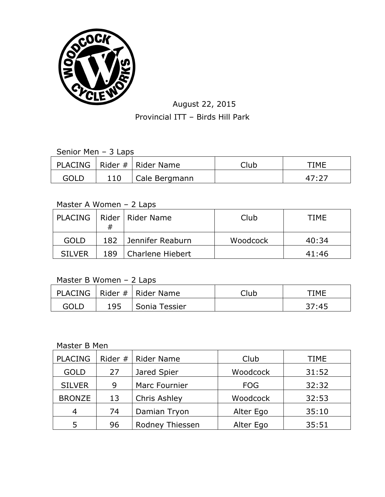

|      | PLACING   Rider #   Rider Name | Club | TIME  |
|------|--------------------------------|------|-------|
| GOLD | Cale Bergmann                  |      | 47.27 |

#### Master A Women – 2 Laps

|               | #   | PLACING   Rider   Rider Name | Club     | TIME  |
|---------------|-----|------------------------------|----------|-------|
| <b>GOLD</b>   | 182 | Jennifer Reaburn             | Woodcock | 40:34 |
| <b>SILVER</b> | 189 | Charlene Hiebert             |          | 41:46 |

#### Master B Women – 2 Laps

|      |     | PLACING   Rider #   Rider Name | Club | TIME  |
|------|-----|--------------------------------|------|-------|
| GOLD | 195 | Sonia Tessier                  |      | 37:45 |

#### Master B Men

| <b>PLACING</b> | Rider # | <b>Rider Name</b> | Club       | TIME  |
|----------------|---------|-------------------|------------|-------|
| <b>GOLD</b>    | 27      | Jared Spier       | Woodcock   | 31:52 |
| <b>SILVER</b>  | 9       | Marc Fournier     | <b>FOG</b> | 32:32 |
| <b>BRONZE</b>  | 13      | Chris Ashley      | Woodcock   | 32:53 |
| 4              | 74      | Damian Tryon      | Alter Ego  | 35:10 |
| 5              | 96      | Rodney Thiessen   | Alter Ego  | 35:51 |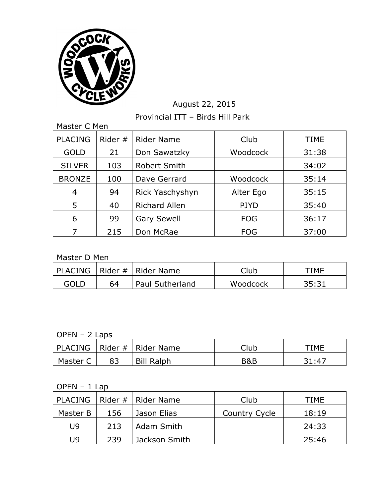

# August 22, 2015

Provincial ITT – Birds Hill Park

| Master C Men   |           |                      |             |             |  |
|----------------|-----------|----------------------|-------------|-------------|--|
| <b>PLACING</b> | Rider $#$ | <b>Rider Name</b>    | Club        | <b>TIME</b> |  |
| <b>GOLD</b>    | 21        | Don Sawatzky         | Woodcock    | 31:38       |  |
| <b>SILVER</b>  | 103       | <b>Robert Smith</b>  |             | 34:02       |  |
| <b>BRONZE</b>  | 100       | Dave Gerrard         | Woodcock    | 35:14       |  |
| 4              | 94        | Rick Yaschyshyn      | Alter Ego   | 35:15       |  |
| 5              | 40        | <b>Richard Allen</b> | <b>PJYD</b> | 35:40       |  |
| 6              | 99        | <b>Gary Sewell</b>   | <b>FOG</b>  | 36:17       |  |
|                | 215       | Don McRae            | <b>FOG</b>  | 37:00       |  |

Master D Men

|             |    | PLACING   Rider #   Rider Name | Club     | TIMF  |
|-------------|----|--------------------------------|----------|-------|
| <b>GOLD</b> | 64 | Paul Sutherland                | Woodcock | 35.31 |

### OPEN – 2 Laps

|          | PLACING   Rider #   Rider Name | Club | TIMF   |
|----------|--------------------------------|------|--------|
| Master C | <b>Bill Ralph</b>              | B&B  | 31 M Z |

#### OPEN – 1 Lap

|          |     | PLACING   Rider #   Rider Name | Club          | <b>TIME</b> |
|----------|-----|--------------------------------|---------------|-------------|
| Master B | 156 | Jason Elias                    | Country Cycle | 18:19       |
| U9       | 213 | Adam Smith                     |               | 24:33       |
| U9       | 239 | Jackson Smith                  |               | 25:46       |